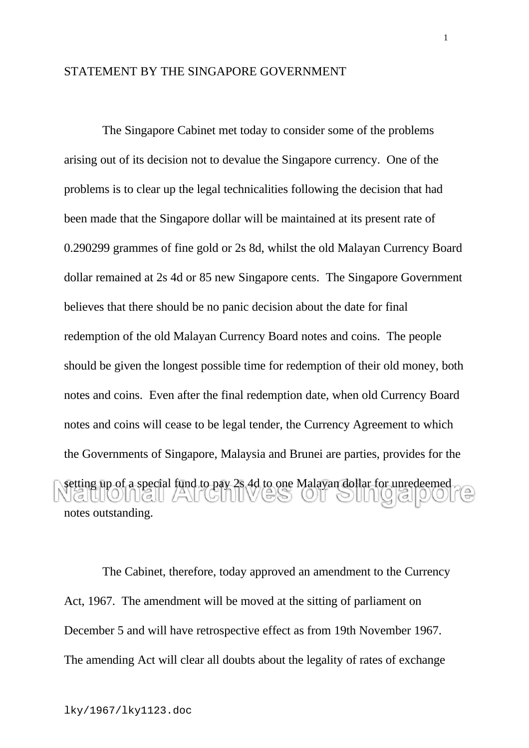## STATEMENT BY THE SINGAPORE GOVERNMENT

 The Singapore Cabinet met today to consider some of the problems arising out of its decision not to devalue the Singapore currency. One of the problems is to clear up the legal technicalities following the decision that had been made that the Singapore dollar will be maintained at its present rate of 0.290299 grammes of fine gold or 2s 8d, whilst the old Malayan Currency Board dollar remained at 2s 4d or 85 new Singapore cents. The Singapore Government believes that there should be no panic decision about the date for final redemption of the old Malayan Currency Board notes and coins. The people should be given the longest possible time for redemption of their old money, both notes and coins. Even after the final redemption date, when old Currency Board notes and coins will cease to be legal tender, the Currency Agreement to which the Governments of Singapore, Malaysia and Brunei are parties, provides for the setting up of a special fund to pay 2s 4d to one Malayan dollar for unredeemed notes outstanding.

 The Cabinet, therefore, today approved an amendment to the Currency Act, 1967. The amendment will be moved at the sitting of parliament on December 5 and will have retrospective effect as from 19th November 1967. The amending Act will clear all doubts about the legality of rates of exchange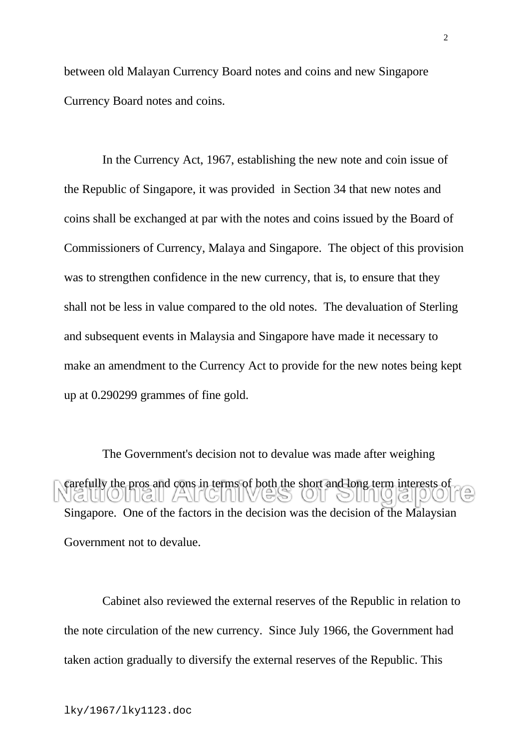between old Malayan Currency Board notes and coins and new Singapore Currency Board notes and coins.

 In the Currency Act, 1967, establishing the new note and coin issue of the Republic of Singapore, it was provided in Section 34 that new notes and coins shall be exchanged at par with the notes and coins issued by the Board of Commissioners of Currency, Malaya and Singapore. The object of this provision was to strengthen confidence in the new currency, that is, to ensure that they shall not be less in value compared to the old notes. The devaluation of Sterling and subsequent events in Malaysia and Singapore have made it necessary to make an amendment to the Currency Act to provide for the new notes being kept up at 0.290299 grammes of fine gold.

 The Government's decision not to devalue was made after weighing carefully the pros and cons in terms of both the short and long term interests of  $\Box$ in Italii  $\odot$   $\odot$   $\odot$   $\odot$   $\odot$ Singapore. One of the factors in the decision was the decision of the Malaysian Government not to devalue.

 Cabinet also reviewed the external reserves of the Republic in relation to the note circulation of the new currency. Since July 1966, the Government had taken action gradually to diversify the external reserves of the Republic. This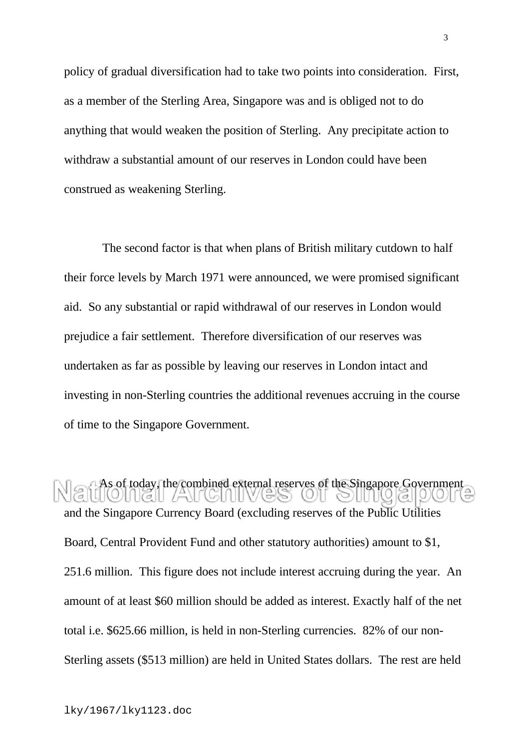policy of gradual diversification had to take two points into consideration. First, as a member of the Sterling Area, Singapore was and is obliged not to do anything that would weaken the position of Sterling. Any precipitate action to withdraw a substantial amount of our reserves in London could have been construed as weakening Sterling.

 The second factor is that when plans of British military cutdown to half their force levels by March 1971 were announced, we were promised significant aid. So any substantial or rapid withdrawal of our reserves in London would prejudice a fair settlement. Therefore diversification of our reserves was undertaken as far as possible by leaving our reserves in London intact and investing in non-Sterling countries the additional revenues accruing in the course of time to the Singapore Government.

As of today, the combined external reserves of the Singapore Government and the Singapore Currency Board (excluding reserves of the Public Utilities Board, Central Provident Fund and other statutory authorities) amount to \$1, 251.6 million. This figure does not include interest accruing during the year. An amount of at least \$60 million should be added as interest. Exactly half of the net total i.e. \$625.66 million, is held in non-Sterling currencies. 82% of our non-Sterling assets (\$513 million) are held in United States dollars. The rest are held